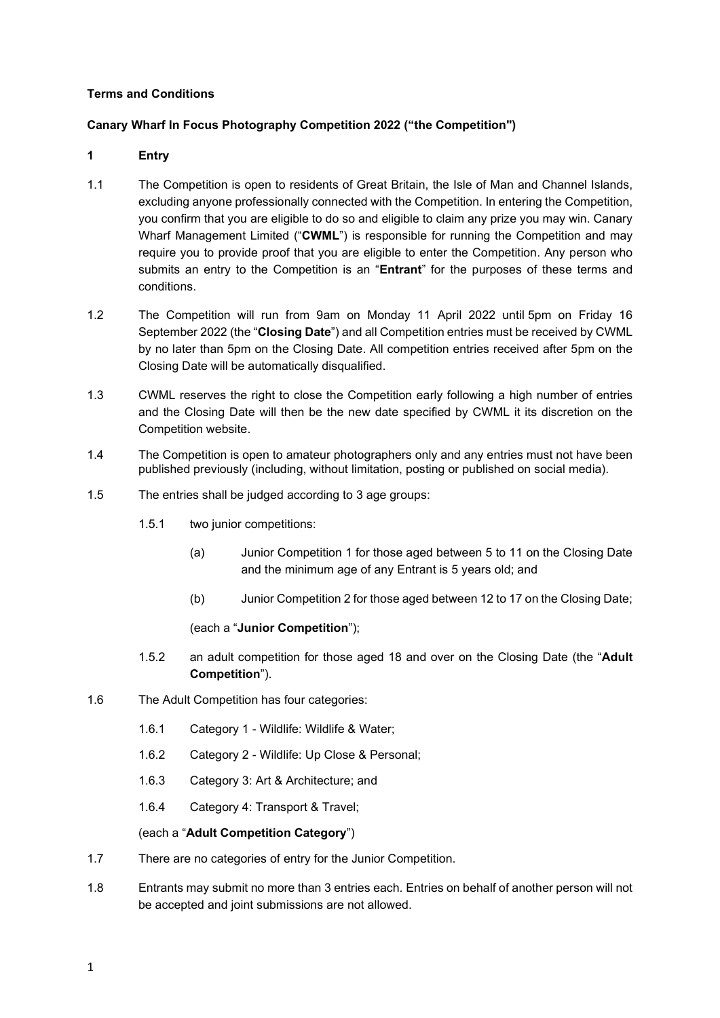## Terms and Conditions

# Canary Wharf In Focus Photography Competition 2022 ("the Competition")

## 1 Entry

- 1.1 The Competition is open to residents of Great Britain, the Isle of Man and Channel Islands, excluding anyone professionally connected with the Competition. In entering the Competition, you confirm that you are eligible to do so and eligible to claim any prize you may win. Canary Wharf Management Limited ("CWML") is responsible for running the Competition and may require you to provide proof that you are eligible to enter the Competition. Any person who submits an entry to the Competition is an "**Entrant**" for the purposes of these terms and conditions.
- 1.2 The Competition will run from 9am on Monday 11 April 2022 until 5pm on Friday 16 September 2022 (the "Closing Date") and all Competition entries must be received by CWML by no later than 5pm on the Closing Date. All competition entries received after 5pm on the Closing Date will be automatically disqualified.
- 1.3 CWML reserves the right to close the Competition early following a high number of entries and the Closing Date will then be the new date specified by CWML it its discretion on the Competition website.
- 1.4 The Competition is open to amateur photographers only and any entries must not have been published previously (including, without limitation, posting or published on social media).
- 1.5 The entries shall be judged according to 3 age groups:
	- 1.5.1 two junior competitions:
		- (a) Junior Competition 1 for those aged between 5 to 11 on the Closing Date and the minimum age of any Entrant is 5 years old; and
		- (b) Junior Competition 2 for those aged between 12 to 17 on the Closing Date;

## (each a "Junior Competition");

- 1.5.2 an adult competition for those aged 18 and over on the Closing Date (the "Adult Competition").
- 1.6 The Adult Competition has four categories:
	- 1.6.1 Category 1 Wildlife: Wildlife & Water;
	- 1.6.2 Category 2 Wildlife: Up Close & Personal;
	- 1.6.3 Category 3: Art & Architecture; and
	- 1.6.4 Category 4: Transport & Travel;

## (each a "Adult Competition Category")

- 1.7 There are no categories of entry for the Junior Competition.
- 1.8 Entrants may submit no more than 3 entries each. Entries on behalf of another person will not be accepted and joint submissions are not allowed.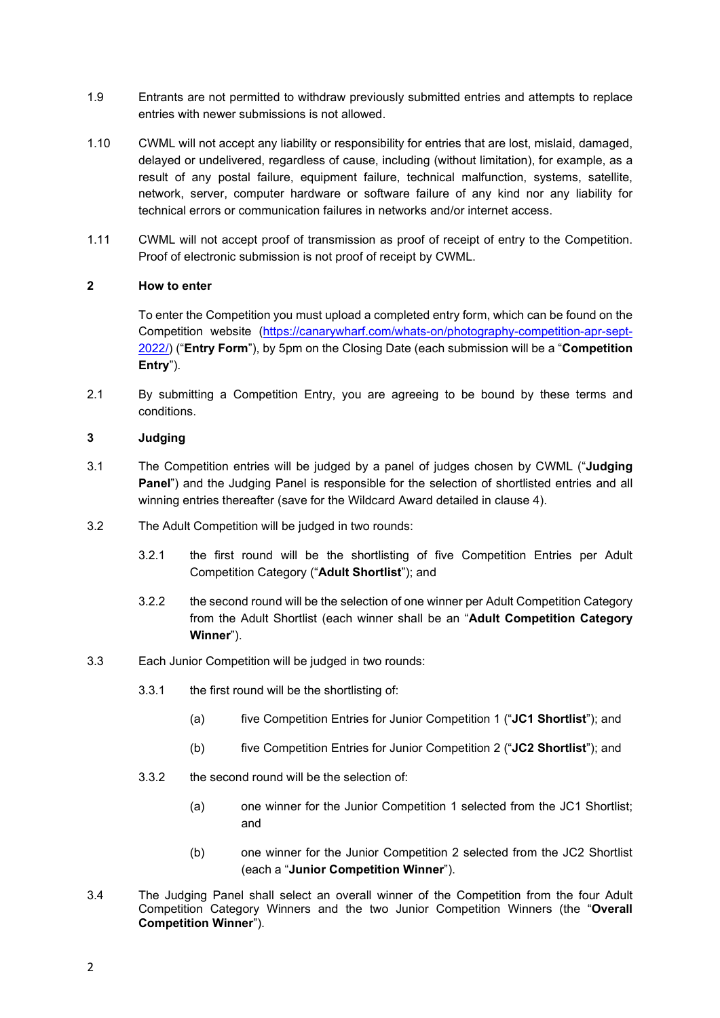- 1.9 Entrants are not permitted to withdraw previously submitted entries and attempts to replace entries with newer submissions is not allowed.
- 1.10 CWML will not accept any liability or responsibility for entries that are lost, mislaid, damaged, delayed or undelivered, regardless of cause, including (without limitation), for example, as a result of any postal failure, equipment failure, technical malfunction, systems, satellite, network, server, computer hardware or software failure of any kind nor any liability for technical errors or communication failures in networks and/or internet access.
- 1.11 CWML will not accept proof of transmission as proof of receipt of entry to the Competition. Proof of electronic submission is not proof of receipt by CWML.

## 2 How to enter

To enter the Competition you must upload a completed entry form, which can be found on the Competition website (https://canarywharf.com/whats-on/photography-competition-apr-sept-2022/) ("Entry Form"), by 5pm on the Closing Date (each submission will be a "Competition Entry").

2.1 By submitting a Competition Entry, you are agreeing to be bound by these terms and conditions.

# 3 Judging

- 3.1 The Competition entries will be judged by a panel of judges chosen by CWML ("Judging Panel") and the Judging Panel is responsible for the selection of shortlisted entries and all winning entries thereafter (save for the Wildcard Award detailed in clause 4).
- 3.2 The Adult Competition will be judged in two rounds:
	- 3.2.1 the first round will be the shortlisting of five Competition Entries per Adult Competition Category ("Adult Shortlist"); and
	- 3.2.2 the second round will be the selection of one winner per Adult Competition Category from the Adult Shortlist (each winner shall be an "Adult Competition Category Winner").
- 3.3 Each Junior Competition will be judged in two rounds:
	- 3.3.1 the first round will be the shortlisting of:
		- (a) five Competition Entries for Junior Competition 1 ("JC1 Shortlist"); and
		- (b) five Competition Entries for Junior Competition 2 ("JC2 Shortlist"); and
	- 3.3.2 the second round will be the selection of:
		- (a) one winner for the Junior Competition 1 selected from the JC1 Shortlist; and
		- (b) one winner for the Junior Competition 2 selected from the JC2 Shortlist (each a "Junior Competition Winner").
- 3.4 The Judging Panel shall select an overall winner of the Competition from the four Adult Competition Category Winners and the two Junior Competition Winners (the "Overall Competition Winner").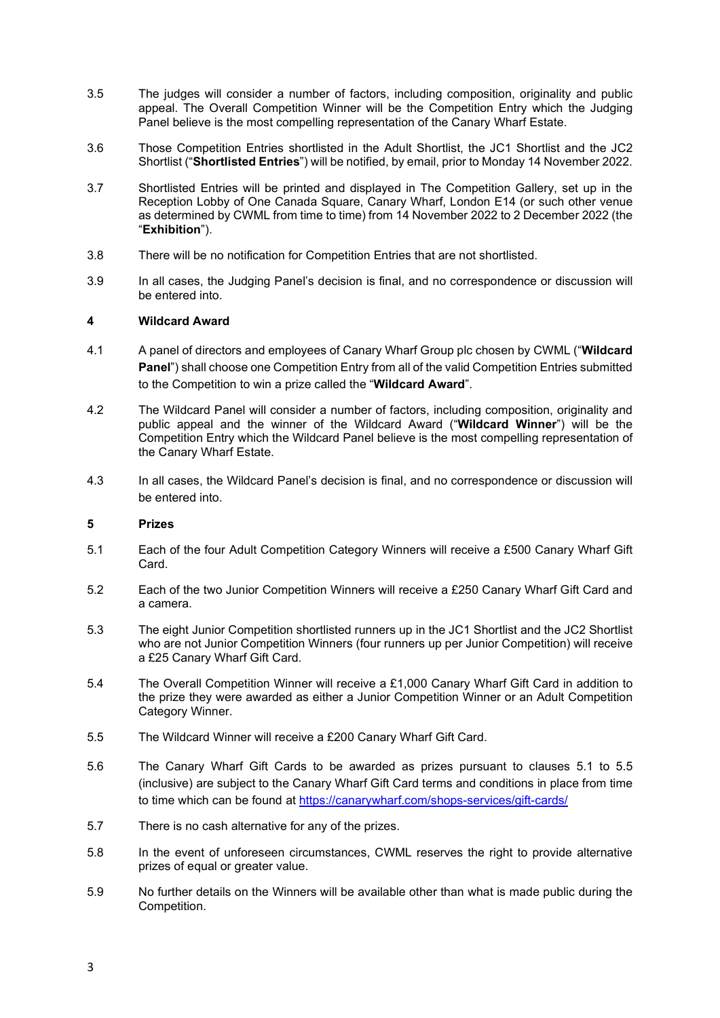- 3.5 The judges will consider a number of factors, including composition, originality and public appeal. The Overall Competition Winner will be the Competition Entry which the Judging Panel believe is the most compelling representation of the Canary Wharf Estate.
- 3.6 Those Competition Entries shortlisted in the Adult Shortlist, the JC1 Shortlist and the JC2 Shortlist ("Shortlisted Entries") will be notified, by email, prior to Monday 14 November 2022.
- 3.7 Shortlisted Entries will be printed and displayed in The Competition Gallery, set up in the Reception Lobby of One Canada Square, Canary Wharf, London E14 (or such other venue as determined by CWML from time to time) from 14 November 2022 to 2 December 2022 (the "Exhibition").
- 3.8 There will be no notification for Competition Entries that are not shortlisted.
- 3.9 In all cases, the Judging Panel's decision is final, and no correspondence or discussion will be entered into.

## 4 Wildcard Award

- 4.1 A panel of directors and employees of Canary Wharf Group plc chosen by CWML ("Wildcard Panel") shall choose one Competition Entry from all of the valid Competition Entries submitted to the Competition to win a prize called the "Wildcard Award".
- 4.2 The Wildcard Panel will consider a number of factors, including composition, originality and public appeal and the winner of the Wildcard Award ("Wildcard Winner") will be the Competition Entry which the Wildcard Panel believe is the most compelling representation of the Canary Wharf Estate.
- 4.3 In all cases, the Wildcard Panel's decision is final, and no correspondence or discussion will be entered into.

#### 5 Prizes

- 5.1 Each of the four Adult Competition Category Winners will receive a £500 Canary Wharf Gift Card.
- 5.2 Each of the two Junior Competition Winners will receive a £250 Canary Wharf Gift Card and a camera.
- 5.3 The eight Junior Competition shortlisted runners up in the JC1 Shortlist and the JC2 Shortlist who are not Junior Competition Winners (four runners up per Junior Competition) will receive a £25 Canary Wharf Gift Card.
- 5.4 The Overall Competition Winner will receive a £1,000 Canary Wharf Gift Card in addition to the prize they were awarded as either a Junior Competition Winner or an Adult Competition Category Winner.
- 5.5 The Wildcard Winner will receive a £200 Canary Wharf Gift Card.
- 5.6 The Canary Wharf Gift Cards to be awarded as prizes pursuant to clauses 5.1 to 5.5 (inclusive) are subject to the Canary Wharf Gift Card terms and conditions in place from time to time which can be found at https://canarywharf.com/shops-services/gift-cards/
- 5.7 There is no cash alternative for any of the prizes.
- 5.8 In the event of unforeseen circumstances, CWML reserves the right to provide alternative prizes of equal or greater value.
- 5.9 No further details on the Winners will be available other than what is made public during the Competition.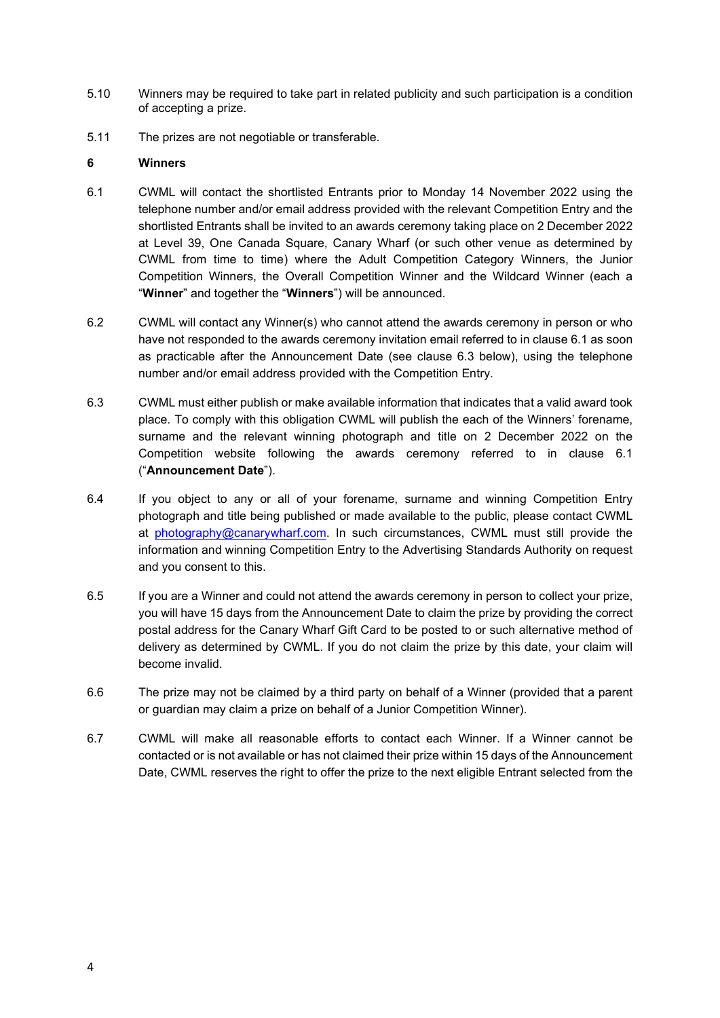- 5.10 Winners may be required to take part in related publicity and such participation is a condition of accepting a prize.
- 5.11 The prizes are not negotiable or transferable.

#### 6 Winners

- 6.1 CWML will contact the shortlisted Entrants prior to Monday 14 November 2022 using the telephone number and/or email address provided with the relevant Competition Entry and the shortlisted Entrants shall be invited to an awards ceremony taking place on 2 December 2022 at Level 39, One Canada Square, Canary Wharf (or such other venue as determined by CWML from time to time) where the Adult Competition Category Winners, the Junior Competition Winners, the Overall Competition Winner and the Wildcard Winner (each a "Winner" and together the "Winners") will be announced.
- 6.2 CWML will contact any Winner(s) who cannot attend the awards ceremony in person or who have not responded to the awards ceremony invitation email referred to in clause 6.1 as soon as practicable after the Announcement Date (see clause 6.3 below), using the telephone number and/or email address provided with the Competition Entry.
- 6.3 CWML must either publish or make available information that indicates that a valid award took place. To comply with this obligation CWML will publish the each of the Winners' forename, surname and the relevant winning photograph and title on 2 December 2022 on the Competition website following the awards ceremony referred to in clause 6.1 ("Announcement Date").
- 6.4 If you object to any or all of your forename, surname and winning Competition Entry photograph and title being published or made available to the public, please contact CWML at photography@canarywharf.com. In such circumstances, CWML must still provide the information and winning Competition Entry to the Advertising Standards Authority on request and you consent to this.
- 6.5 If you are a Winner and could not attend the awards ceremony in person to collect your prize, you will have 15 days from the Announcement Date to claim the prize by providing the correct postal address for the Canary Wharf Gift Card to be posted to or such alternative method of delivery as determined by CWML. If you do not claim the prize by this date, your claim will become invalid.
- 6.6 The prize may not be claimed by a third party on behalf of a Winner (provided that a parent or guardian may claim a prize on behalf of a Junior Competition Winner).
- 6.7 CWML will make all reasonable efforts to contact each Winner. If a Winner cannot be contacted or is not available or has not claimed their prize within 15 days of the Announcement Date, CWML reserves the right to offer the prize to the next eligible Entrant selected from the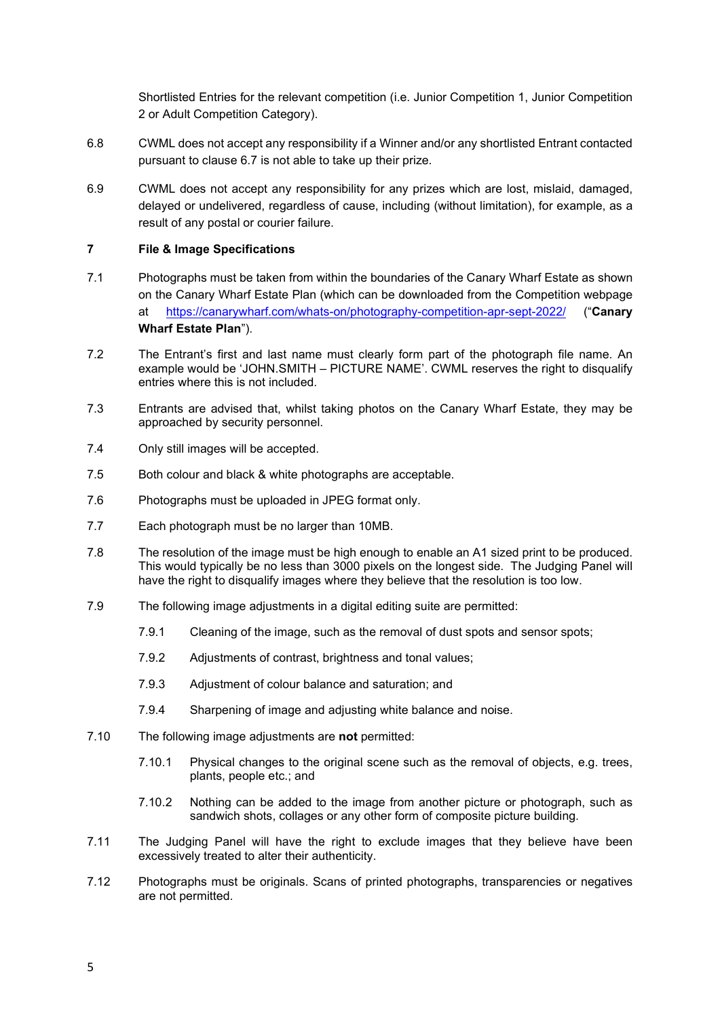Shortlisted Entries for the relevant competition (i.e. Junior Competition 1, Junior Competition 2 or Adult Competition Category).

- 6.8 CWML does not accept any responsibility if a Winner and/or any shortlisted Entrant contacted pursuant to clause 6.7 is not able to take up their prize.
- 6.9 CWML does not accept any responsibility for any prizes which are lost, mislaid, damaged, delayed or undelivered, regardless of cause, including (without limitation), for example, as a result of any postal or courier failure.

### 7 File & Image Specifications

- 7.1 Photographs must be taken from within the boundaries of the Canary Wharf Estate as shown on the Canary Wharf Estate Plan (which can be downloaded from the Competition webpage at https://canarywharf.com/whats-on/photography-competition-apr-sept-2022/ ("Canary Wharf Estate Plan").
- 7.2 The Entrant's first and last name must clearly form part of the photograph file name. An example would be 'JOHN.SMITH – PICTURE NAME'. CWML reserves the right to disqualify entries where this is not included.
- 7.3 Entrants are advised that, whilst taking photos on the Canary Wharf Estate, they may be approached by security personnel.
- 7.4 Only still images will be accepted.
- 7.5 Both colour and black & white photographs are acceptable.
- 7.6 Photographs must be uploaded in JPEG format only.
- 7.7 Each photograph must be no larger than 10MB.
- 7.8 The resolution of the image must be high enough to enable an A1 sized print to be produced. This would typically be no less than 3000 pixels on the longest side. The Judging Panel will have the right to disqualify images where they believe that the resolution is too low.
- 7.9 The following image adjustments in a digital editing suite are permitted:
	- 7.9.1 Cleaning of the image, such as the removal of dust spots and sensor spots;
	- 7.9.2 Adjustments of contrast, brightness and tonal values;
	- 7.9.3 Adjustment of colour balance and saturation; and
	- 7.9.4 Sharpening of image and adjusting white balance and noise.
- 7.10 The following image adjustments are not permitted:
	- 7.10.1 Physical changes to the original scene such as the removal of objects, e.g. trees, plants, people etc.; and
	- 7.10.2 Nothing can be added to the image from another picture or photograph, such as sandwich shots, collages or any other form of composite picture building.
- 7.11 The Judging Panel will have the right to exclude images that they believe have been excessively treated to alter their authenticity.
- 7.12 Photographs must be originals. Scans of printed photographs, transparencies or negatives are not permitted.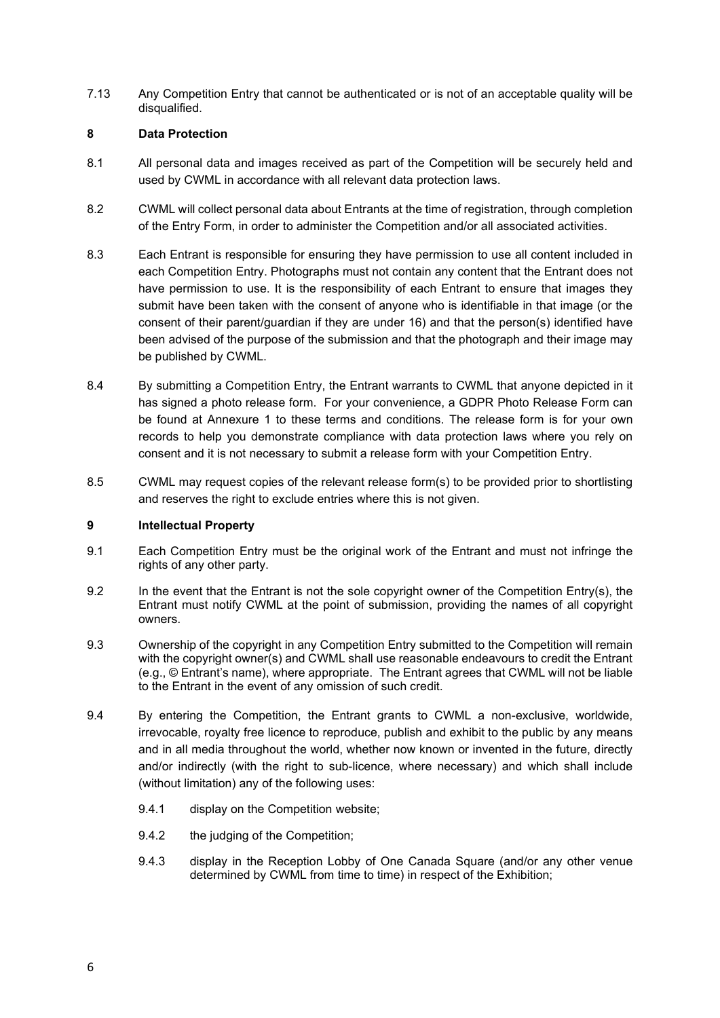7.13 Any Competition Entry that cannot be authenticated or is not of an acceptable quality will be disqualified.

## 8 Data Protection

- 8.1 All personal data and images received as part of the Competition will be securely held and used by CWML in accordance with all relevant data protection laws.
- 8.2 CWML will collect personal data about Entrants at the time of registration, through completion of the Entry Form, in order to administer the Competition and/or all associated activities.
- 8.3 Each Entrant is responsible for ensuring they have permission to use all content included in each Competition Entry. Photographs must not contain any content that the Entrant does not have permission to use. It is the responsibility of each Entrant to ensure that images they submit have been taken with the consent of anyone who is identifiable in that image (or the consent of their parent/guardian if they are under 16) and that the person(s) identified have been advised of the purpose of the submission and that the photograph and their image may be published by CWML.
- 8.4 By submitting a Competition Entry, the Entrant warrants to CWML that anyone depicted in it has signed a photo release form. For your convenience, a GDPR Photo Release Form can be found at Annexure 1 to these terms and conditions. The release form is for your own records to help you demonstrate compliance with data protection laws where you rely on consent and it is not necessary to submit a release form with your Competition Entry.
- 8.5 CWML may request copies of the relevant release form(s) to be provided prior to shortlisting and reserves the right to exclude entries where this is not given.

## 9 Intellectual Property

- 9.1 Each Competition Entry must be the original work of the Entrant and must not infringe the rights of any other party.
- 9.2 In the event that the Entrant is not the sole copyright owner of the Competition Entry(s), the Entrant must notify CWML at the point of submission, providing the names of all copyright owners.
- 9.3 Ownership of the copyright in any Competition Entry submitted to the Competition will remain with the copyright owner(s) and CWML shall use reasonable endeavours to credit the Entrant (e.g., © Entrant's name), where appropriate. The Entrant agrees that CWML will not be liable to the Entrant in the event of any omission of such credit.
- 9.4 By entering the Competition, the Entrant grants to CWML a non-exclusive, worldwide, irrevocable, royalty free licence to reproduce, publish and exhibit to the public by any means and in all media throughout the world, whether now known or invented in the future, directly and/or indirectly (with the right to sub-licence, where necessary) and which shall include (without limitation) any of the following uses:
	- 9.4.1 display on the Competition website;
	- 9.4.2 the judging of the Competition;
	- 9.4.3 display in the Reception Lobby of One Canada Square (and/or any other venue determined by CWML from time to time) in respect of the Exhibition;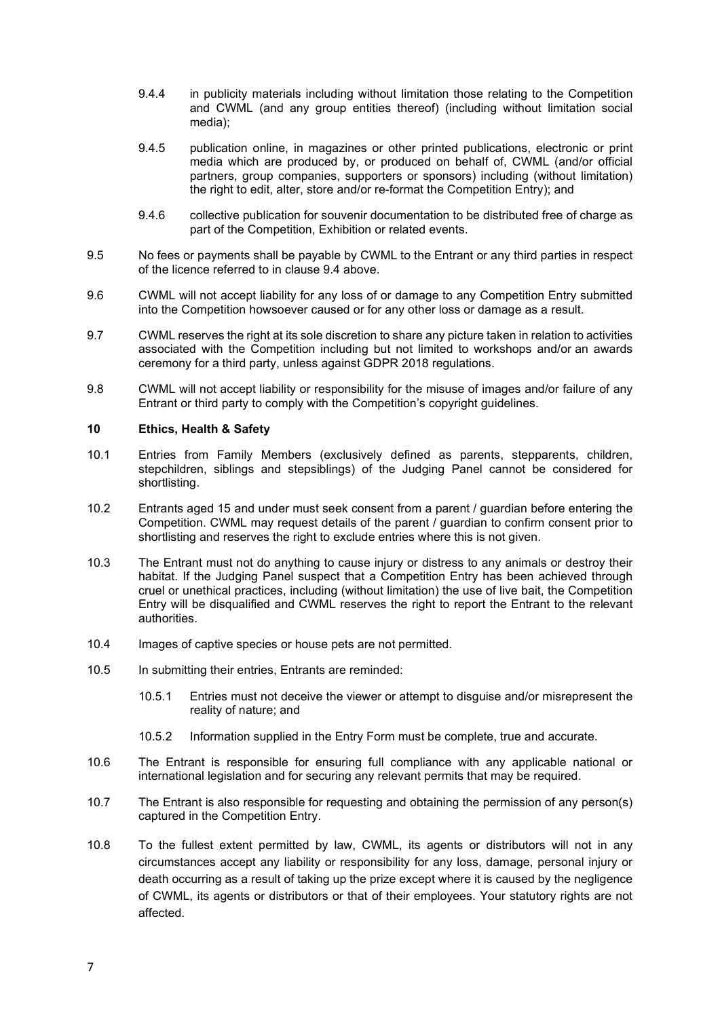- 9.4.4 in publicity materials including without limitation those relating to the Competition and CWML (and any group entities thereof) (including without limitation social media);
- 9.4.5 publication online, in magazines or other printed publications, electronic or print media which are produced by, or produced on behalf of, CWML (and/or official partners, group companies, supporters or sponsors) including (without limitation) the right to edit, alter, store and/or re-format the Competition Entry); and
- 9.4.6 collective publication for souvenir documentation to be distributed free of charge as part of the Competition, Exhibition or related events.
- 9.5 No fees or payments shall be payable by CWML to the Entrant or any third parties in respect of the licence referred to in clause 9.4 above.
- 9.6 CWML will not accept liability for any loss of or damage to any Competition Entry submitted into the Competition howsoever caused or for any other loss or damage as a result.
- 9.7 CWML reserves the right at its sole discretion to share any picture taken in relation to activities associated with the Competition including but not limited to workshops and/or an awards ceremony for a third party, unless against GDPR 2018 regulations.
- 9.8 CWML will not accept liability or responsibility for the misuse of images and/or failure of any Entrant or third party to comply with the Competition's copyright guidelines.

#### 10 Ethics, Health & Safety

- 10.1 Entries from Family Members (exclusively defined as parents, stepparents, children, stepchildren, siblings and stepsiblings) of the Judging Panel cannot be considered for shortlisting.
- 10.2 Entrants aged 15 and under must seek consent from a parent / guardian before entering the Competition. CWML may request details of the parent / guardian to confirm consent prior to shortlisting and reserves the right to exclude entries where this is not given.
- 10.3 The Entrant must not do anything to cause injury or distress to any animals or destroy their habitat. If the Judging Panel suspect that a Competition Entry has been achieved through cruel or unethical practices, including (without limitation) the use of live bait, the Competition Entry will be disqualified and CWML reserves the right to report the Entrant to the relevant authorities.
- 10.4 Images of captive species or house pets are not permitted.
- 10.5 In submitting their entries, Entrants are reminded:
	- 10.5.1 Entries must not deceive the viewer or attempt to disguise and/or misrepresent the reality of nature; and
	- 10.5.2 Information supplied in the Entry Form must be complete, true and accurate.
- 10.6 The Entrant is responsible for ensuring full compliance with any applicable national or international legislation and for securing any relevant permits that may be required.
- 10.7 The Entrant is also responsible for requesting and obtaining the permission of any person(s) captured in the Competition Entry.
- 10.8 To the fullest extent permitted by law, CWML, its agents or distributors will not in any circumstances accept any liability or responsibility for any loss, damage, personal injury or death occurring as a result of taking up the prize except where it is caused by the negligence of CWML, its agents or distributors or that of their employees. Your statutory rights are not affected.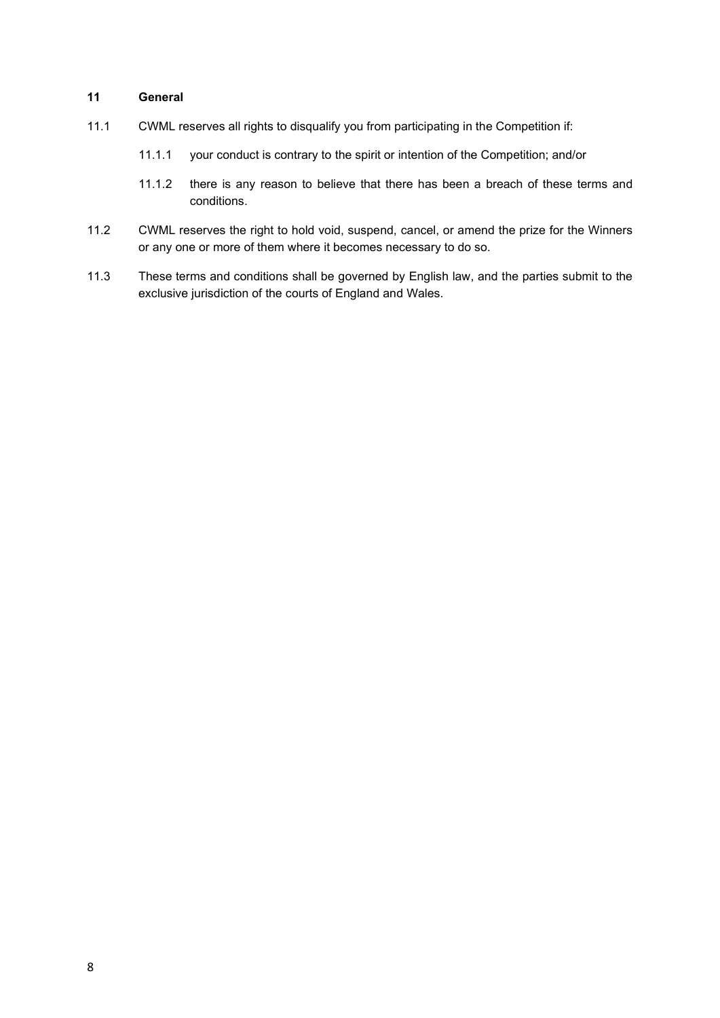## 11 General

- 11.1 CWML reserves all rights to disqualify you from participating in the Competition if:
	- 11.1.1 your conduct is contrary to the spirit or intention of the Competition; and/or
	- 11.1.2 there is any reason to believe that there has been a breach of these terms and conditions.
- 11.2 CWML reserves the right to hold void, suspend, cancel, or amend the prize for the Winners or any one or more of them where it becomes necessary to do so.
- 11.3 These terms and conditions shall be governed by English law, and the parties submit to the exclusive jurisdiction of the courts of England and Wales.